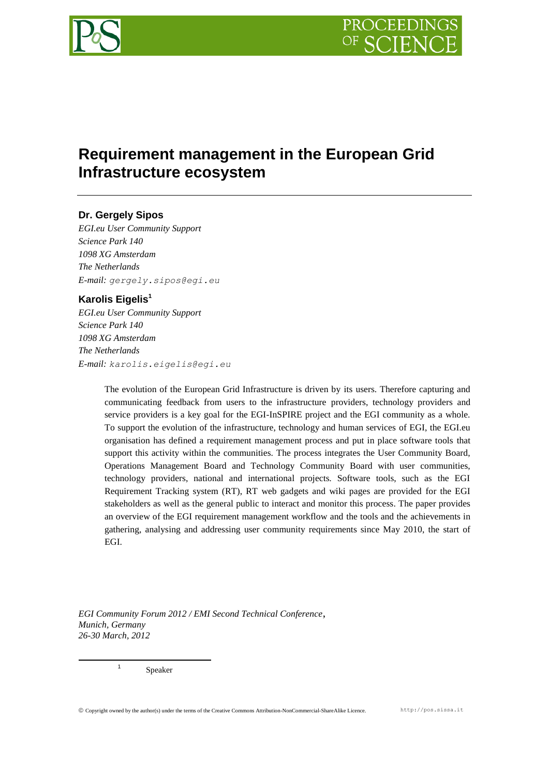

# **Requirement management in the European Grid Infrastructure ecosystem**

# **Dr. Gergely Sipos**

*EGI.eu User Community Support Science Park 140 1098 XG Amsterdam The Netherlands E-mail: gergely.sipos@egi.eu*

# **Karolis Eigelis<sup>1</sup>**

*EGI.eu User Community Support Science Park 140 1098 XG Amsterdam The Netherlands E-mail: karolis.eigelis@egi.eu*

> The evolution of the European Grid Infrastructure is driven by its users. Therefore capturing and communicating feedback from users to the infrastructure providers, technology providers and service providers is a key goal for the EGI-InSPIRE project and the EGI community as a whole. To support the evolution of the infrastructure, technology and human services of EGI, the EGI.eu organisation has defined a requirement management process and put in place software tools that support this activity within the communities. The process integrates the User Community Board, Operations Management Board and Technology Community Board with user communities, technology providers, national and international projects. Software tools, such as the EGI Requirement Tracking system (RT), RT web gadgets and wiki pages are provided for the EGI stakeholders as well as the general public to interact and monitor this process. The paper provides an overview of the EGI requirement management workflow and the tools and the achievements in gathering, analysing and addressing user community requirements since May 2010, the start of EGI.

*EGI Community Forum 2012 / EMI Second Technical Conference*, *Munich, Germany 26-30 March, 2012*

Speaker

1

1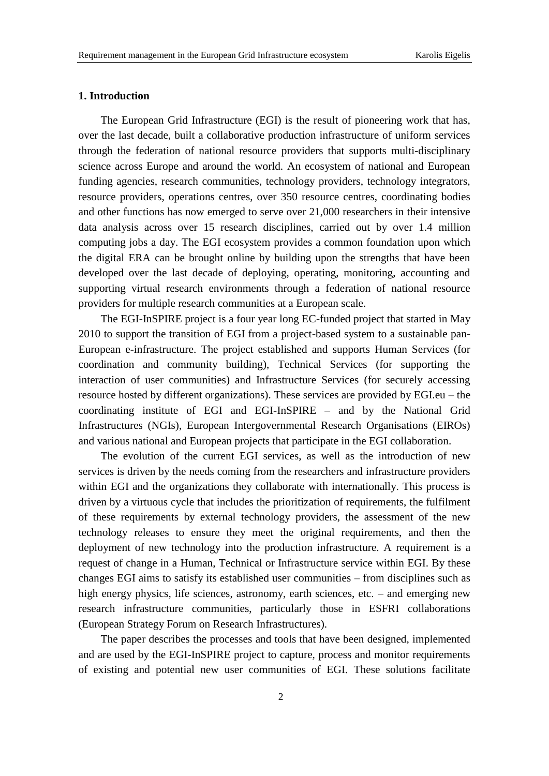## **1. Introduction**

The European Grid Infrastructure (EGI) is the result of pioneering work that has, over the last decade, built a collaborative production infrastructure of uniform services through the federation of national resource providers that supports multi-disciplinary science across Europe and around the world. An ecosystem of national and European funding agencies, research communities, technology providers, technology integrators, resource providers, operations centres, over 350 resource centres, coordinating bodies and other functions has now emerged to serve over 21,000 researchers in their intensive data analysis across over 15 research disciplines, carried out by over 1.4 million computing jobs a day. The EGI ecosystem provides a common foundation upon which the digital ERA can be brought online by building upon the strengths that have been developed over the last decade of deploying, operating, monitoring, accounting and supporting virtual research environments through a federation of national resource providers for multiple research communities at a European scale.

The EGI-InSPIRE project is a four year long EC-funded project that started in May 2010 to support the transition of EGI from a project-based system to a sustainable pan-European e-infrastructure. The project established and supports Human Services (for coordination and community building), Technical Services (for supporting the interaction of user communities) and Infrastructure Services (for securely accessing resource hosted by different organizations). These services are provided by EGI.eu – the coordinating institute of EGI and EGI-InSPIRE – and by the National Grid Infrastructures (NGIs), European Intergovernmental Research Organisations (EIROs) and various national and European projects that participate in the EGI collaboration.

The evolution of the current EGI services, as well as the introduction of new services is driven by the needs coming from the researchers and infrastructure providers within EGI and the organizations they collaborate with internationally. This process is driven by a virtuous cycle that includes the prioritization of requirements, the fulfilment of these requirements by external technology providers, the assessment of the new technology releases to ensure they meet the original requirements, and then the deployment of new technology into the production infrastructure. A requirement is a request of change in a Human, Technical or Infrastructure service within EGI. By these changes EGI aims to satisfy its established user communities – from disciplines such as high energy physics, life sciences, astronomy, earth sciences, etc. – and emerging new research infrastructure communities, particularly those in ESFRI collaborations (European Strategy Forum on Research Infrastructures).

The paper describes the processes and tools that have been designed, implemented and are used by the EGI-InSPIRE project to capture, process and monitor requirements of existing and potential new user communities of EGI. These solutions facilitate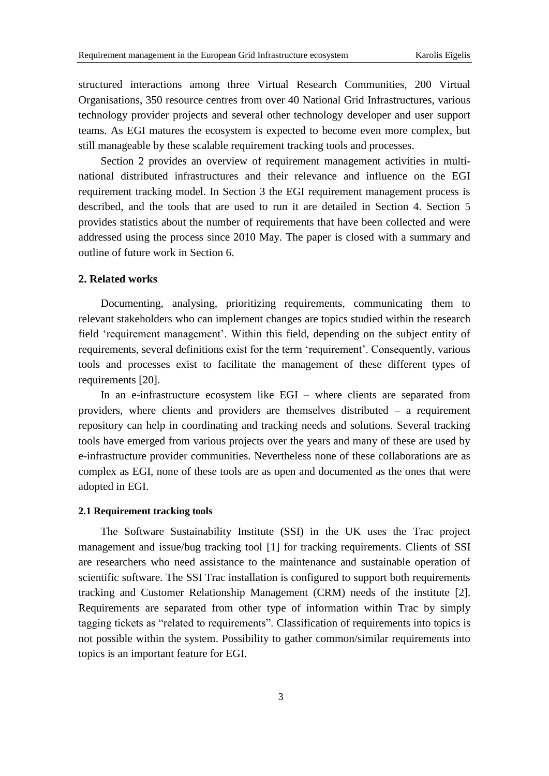structured interactions among three Virtual Research Communities, 200 Virtual Organisations, 350 resource centres from over 40 National Grid Infrastructures, various technology provider projects and several other technology developer and user support teams. As EGI matures the ecosystem is expected to become even more complex, but still manageable by these scalable requirement tracking tools and processes.

Section 2 provides an overview of requirement management activities in multinational distributed infrastructures and their relevance and influence on the EGI requirement tracking model. In Section 3 the EGI requirement management process is described, and the tools that are used to run it are detailed in Section 4. Section 5 provides statistics about the number of requirements that have been collected and were addressed using the process since 2010 May. The paper is closed with a summary and outline of future work in Section 6.

## **2. Related works**

Documenting, analysing, prioritizing requirements, communicating them to relevant stakeholders who can implement changes are topics studied within the research field 'requirement management'. Within this field, depending on the subject entity of requirements, several definitions exist for the term 'requirement'. Consequently, various tools and processes exist to facilitate the management of these different types of requirements [20].

In an e-infrastructure ecosystem like EGI – where clients are separated from providers, where clients and providers are themselves distributed – a requirement repository can help in coordinating and tracking needs and solutions. Several tracking tools have emerged from various projects over the years and many of these are used by e-infrastructure provider communities. Nevertheless none of these collaborations are as complex as EGI, none of these tools are as open and documented as the ones that were adopted in EGI.

## **2.1 Requirement tracking tools**

The Software Sustainability Institute (SSI) in the UK uses the Trac project management and issue/bug tracking tool [\[1\]](#page-15-0) for tracking requirements. Clients of SSI are researchers who need assistance to the maintenance and sustainable operation of scientific software. The SSI Trac installation is configured to support both requirements tracking and Customer Relationship Management (CRM) needs of the institute [\[2\].](#page-15-1) Requirements are separated from other type of information within Trac by simply tagging tickets as "related to requirements". Classification of requirements into topics is not possible within the system. Possibility to gather common/similar requirements into topics is an important feature for EGI.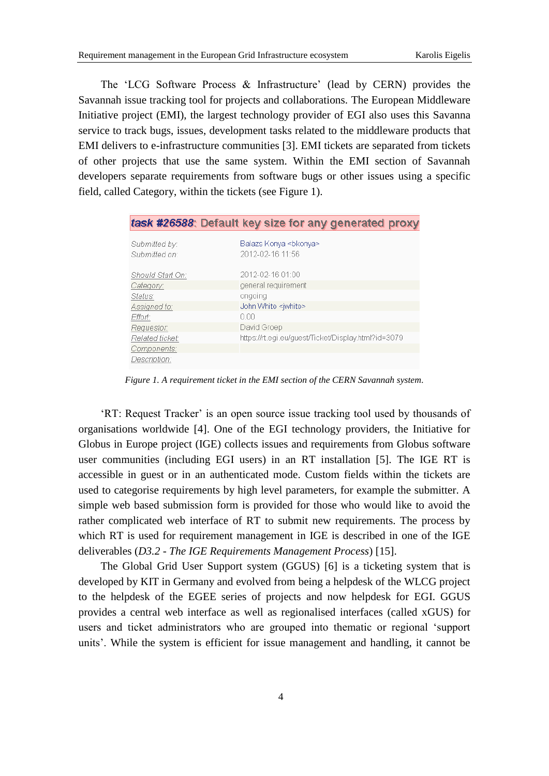The 'LCG Software Process & Infrastructure' (lead by CERN) provides the Savannah issue tracking tool for projects and collaborations. The European Middleware Initiative project (EMI), the largest technology provider of EGI also uses this Savanna service to track bugs, issues, development tasks related to the middleware products that EMI delivers to e-infrastructure communities [\[3\].](#page-16-0) EMI tickets are separated from tickets of other projects that use the same system. Within the EMI section of Savannah developers separate requirements from software bugs or other issues using a specific field, called Category, within the tickets (see Figure 1).

|                                | task #26588: Default key size for any generated proxy |
|--------------------------------|-------------------------------------------------------|
| Submitted by:<br>Submitted on: | Balazs Konya <bkonya><br/>2012-02-16 11:56</bkonya>   |
| Should Start On:               | 2012-02-16 01:00                                      |
| Category:                      | general requirement                                   |
| Status:                        | ongoing                                               |
| Assigned to:                   | John White <iwhite></iwhite>                          |
| Effort:                        | 0.00                                                  |
| Reauestor:                     | David Groep                                           |
| Related ticket:                | https://rt.eqi.eu/quest/Ticket/Display.html?id=3079   |
| Components:                    |                                                       |
| Description:                   |                                                       |

*Figure 1. A requirement ticket in the EMI section of the CERN Savannah system.*

'RT: Request Tracker' is an open source issue tracking tool used by thousands of organisations worldwide [\[4\].](#page-16-1) One of the EGI technology providers, the Initiative for Globus in Europe project (IGE) collects issues and requirements from Globus software user communities (including EGI users) in an RT installation [\[5\].](#page-16-2) The IGE RT is accessible in guest or in an authenticated mode. Custom fields within the tickets are used to categorise requirements by high level parameters, for example the submitter. A simple web based submission form is provided for those who would like to avoid the rather complicated web interface of RT to submit new requirements. The process by which RT is used for requirement management in IGE is described in one of the IGE deliverables (*D3.2 - The IGE Requirements Management Process*) [15].

The Global Grid User Support system (GGUS) [\[6\]](#page-16-3) is a ticketing system that is developed by KIT in Germany and evolved from being a helpdesk of the WLCG project to the helpdesk of the EGEE series of projects and now helpdesk for EGI. GGUS provides a central web interface as well as regionalised interfaces (called xGUS) for users and ticket administrators who are grouped into thematic or regional 'support units'. While the system is efficient for issue management and handling, it cannot be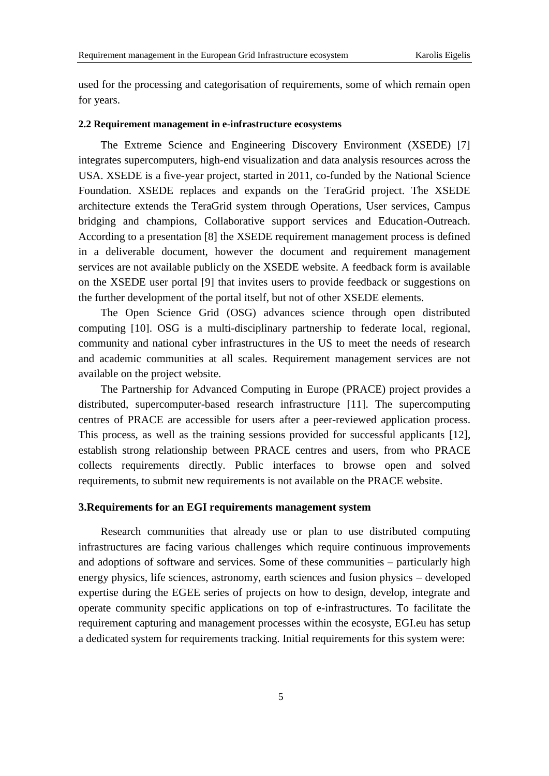used for the processing and categorisation of requirements, some of which remain open for years.

#### **2.2 Requirement management in e-infrastructure ecosystems**

The Extreme Science and Engineering Discovery Environment (XSEDE) [7] integrates supercomputers, high-end visualization and data analysis resources across the USA. XSEDE is a five-year project, started in 2011, co-funded by the National Science Foundation. XSEDE replaces and expands on the TeraGrid project. The XSEDE architecture extends the TeraGrid system through Operations, User services, Campus bridging and champions, Collaborative support services and Education-Outreach. According to a presentation [\[8\]](#page-16-4) the XSEDE requirement management process is defined in a deliverable document, however the document and requirement management services are not available publicly on the XSEDE website. A feedback form is available on the XSEDE user portal [\[9\]](#page-16-5) that invites users to provide feedback or suggestions on the further development of the portal itself, but not of other XSEDE elements.

The Open Science Grid (OSG) advances science through open distributed computing [\[10\].](#page-16-6) OSG is a multi-disciplinary partnership to federate local, regional, community and national cyber infrastructures in the US to meet the needs of research and academic communities at all scales. Requirement management services are not available on the project website.

The Partnership for Advanced Computing in Europe (PRACE) project provides a distributed, supercomputer-based research infrastructure [\[11\].](#page-16-7) The supercomputing centres of PRACE are accessible for users after a peer-reviewed application process. This process, as well as the training sessions provided for successful applicants [\[12\],](#page-16-8) establish strong relationship between PRACE centres and users, from who PRACE collects requirements directly. Public interfaces to browse open and solved requirements, to submit new requirements is not available on the PRACE website.

# **3.Requirements for an EGI requirements management system**

Research communities that already use or plan to use distributed computing infrastructures are facing various challenges which require continuous improvements and adoptions of software and services. Some of these communities – particularly high energy physics, life sciences, astronomy, earth sciences and fusion physics – developed expertise during the EGEE series of projects on how to design, develop, integrate and operate community specific applications on top of e-infrastructures. To facilitate the requirement capturing and management processes within the ecosyste, EGI.eu has setup a dedicated system for requirements tracking. Initial requirements for this system were: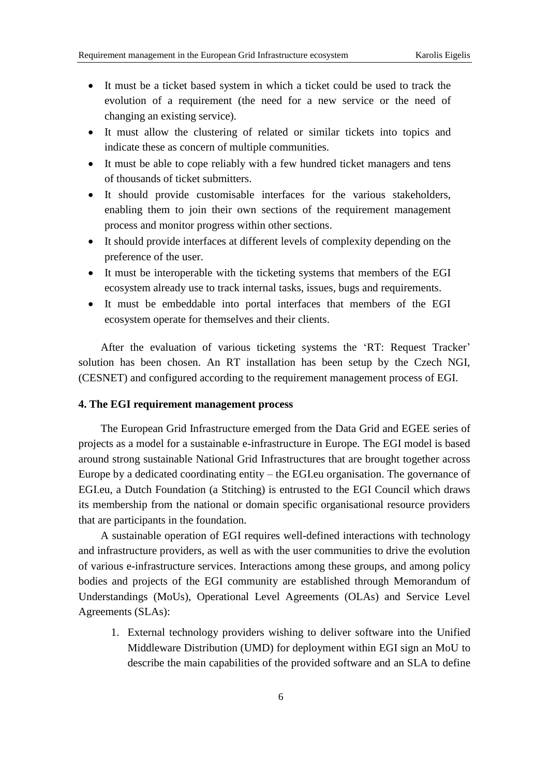- It must be a ticket based system in which a ticket could be used to track the evolution of a requirement (the need for a new service or the need of changing an existing service).
- It must allow the clustering of related or similar tickets into topics and indicate these as concern of multiple communities.
- It must be able to cope reliably with a few hundred ticket managers and tens of thousands of ticket submitters.
- It should provide customisable interfaces for the various stakeholders, enabling them to join their own sections of the requirement management process and monitor progress within other sections.
- It should provide interfaces at different levels of complexity depending on the preference of the user.
- It must be interoperable with the ticketing systems that members of the EGI ecosystem already use to track internal tasks, issues, bugs and requirements.
- It must be embeddable into portal interfaces that members of the EGI ecosystem operate for themselves and their clients.

After the evaluation of various ticketing systems the 'RT: Request Tracker' solution has been chosen. An RT installation has been setup by the Czech NGI, (CESNET) and configured according to the requirement management process of EGI.

## **4. The EGI requirement management process**

The European Grid Infrastructure emerged from the Data Grid and EGEE series of projects as a model for a sustainable e-infrastructure in Europe. The EGI model is based around strong sustainable National Grid Infrastructures that are brought together across Europe by a dedicated coordinating entity – the EGI.eu organisation. The governance of EGI.eu, a Dutch Foundation (a Stitching) is entrusted to the EGI Council which draws its membership from the national or domain specific organisational resource providers that are participants in the foundation.

A sustainable operation of EGI requires well-defined interactions with technology and infrastructure providers, as well as with the user communities to drive the evolution of various e-infrastructure services. Interactions among these groups, and among policy bodies and projects of the EGI community are established through Memorandum of Understandings (MoUs), Operational Level Agreements (OLAs) and Service Level Agreements (SLAs):

1. External technology providers wishing to deliver software into the Unified Middleware Distribution (UMD) for deployment within EGI sign an MoU to describe the main capabilities of the provided software and an SLA to define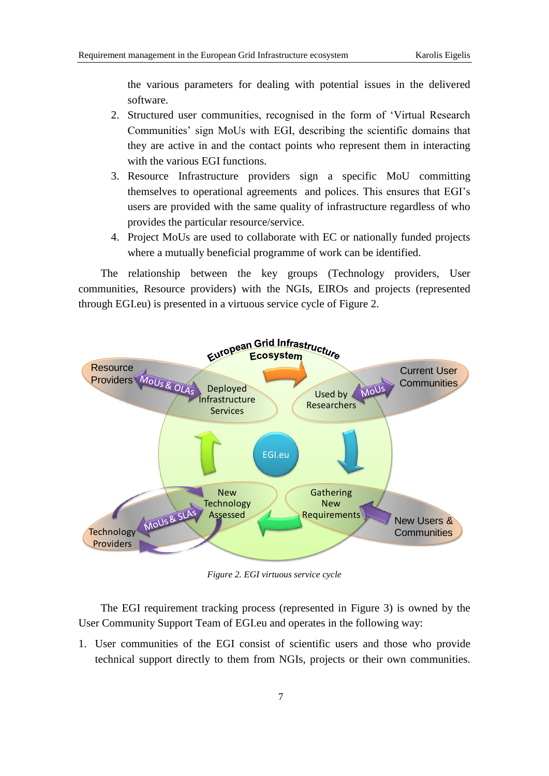the various parameters for dealing with potential issues in the delivered software.

- 2. Structured user communities, recognised in the form of 'Virtual Research Communities' sign MoUs with EGI, describing the scientific domains that they are active in and the contact points who represent them in interacting with the various EGI functions.
- 3. Resource Infrastructure providers sign a specific MoU committing themselves to operational agreements and polices. This ensures that EGI's users are provided with the same quality of infrastructure regardless of who provides the particular resource/service.
- 4. Project MoUs are used to collaborate with EC or nationally funded projects where a mutually beneficial programme of work can be identified.

The relationship between the key groups (Technology providers, User communities, Resource providers) with the NGIs, EIROs and projects (represented through EGI.eu) is presented in a virtuous service cycle of [Figure 2.](#page-6-0)



*Figure 2. EGI virtuous service cycle*

<span id="page-6-0"></span>The EGI requirement tracking process (represented in [Figure 3\)](#page-8-0) is owned by the User Community Support Team of EGI.eu and operates in the following way:

1. User communities of the EGI consist of scientific users and those who provide technical support directly to them from NGIs, projects or their own communities.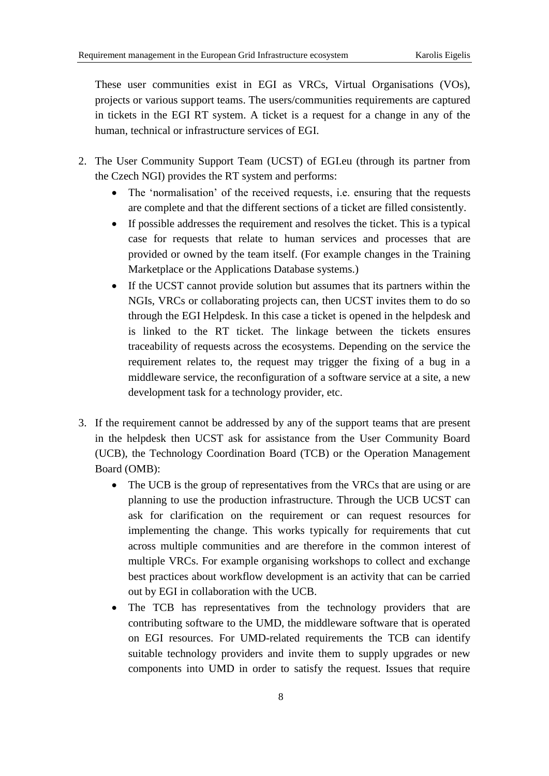These user communities exist in EGI as VRCs, Virtual Organisations (VOs), projects or various support teams. The users/communities requirements are captured in tickets in the EGI RT system. A ticket is a request for a change in any of the human, technical or infrastructure services of EGI.

- 2. The User Community Support Team (UCST) of EGI.eu (through its partner from the Czech NGI) provides the RT system and performs:
	- The 'normalisation' of the received requests, i.e. ensuring that the requests are complete and that the different sections of a ticket are filled consistently.
	- If possible addresses the requirement and resolves the ticket. This is a typical case for requests that relate to human services and processes that are provided or owned by the team itself. (For example changes in the Training Marketplace or the Applications Database systems.)
	- If the UCST cannot provide solution but assumes that its partners within the NGIs, VRCs or collaborating projects can, then UCST invites them to do so through the EGI Helpdesk. In this case a ticket is opened in the helpdesk and is linked to the RT ticket. The linkage between the tickets ensures traceability of requests across the ecosystems. Depending on the service the requirement relates to, the request may trigger the fixing of a bug in a middleware service, the reconfiguration of a software service at a site, a new development task for a technology provider, etc.
- 3. If the requirement cannot be addressed by any of the support teams that are present in the helpdesk then UCST ask for assistance from the User Community Board (UCB), the Technology Coordination Board (TCB) or the Operation Management Board (OMB):
	- The UCB is the group of representatives from the VRCs that are using or are planning to use the production infrastructure. Through the UCB UCST can ask for clarification on the requirement or can request resources for implementing the change. This works typically for requirements that cut across multiple communities and are therefore in the common interest of multiple VRCs. For example organising workshops to collect and exchange best practices about workflow development is an activity that can be carried out by EGI in collaboration with the UCB.
	- The TCB has representatives from the technology providers that are contributing software to the UMD, the middleware software that is operated on EGI resources. For UMD-related requirements the TCB can identify suitable technology providers and invite them to supply upgrades or new components into UMD in order to satisfy the request. Issues that require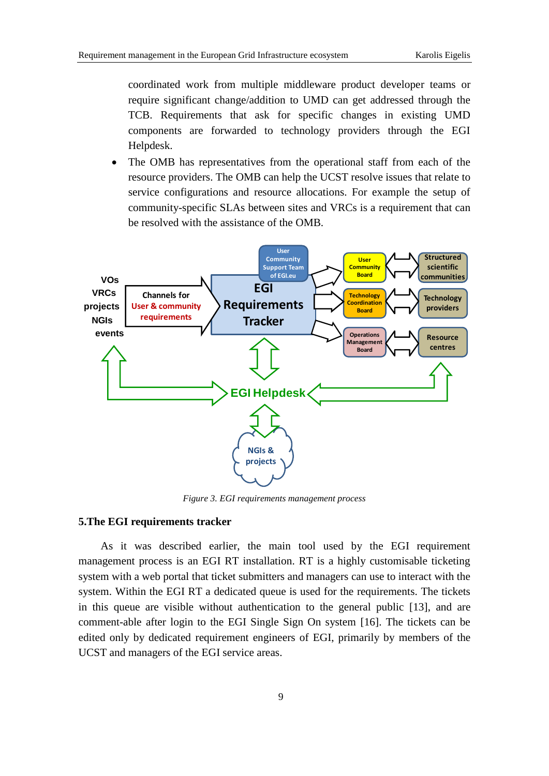coordinated work from multiple middleware product developer teams or require significant change/addition to UMD can get addressed through the TCB. Requirements that ask for specific changes in existing UMD components are forwarded to technology providers through the EGI Helpdesk.

 The OMB has representatives from the operational staff from each of the resource providers. The OMB can help the UCST resolve issues that relate to service configurations and resource allocations. For example the setup of community-specific SLAs between sites and VRCs is a requirement that can be resolved with the assistance of the OMB.



*Figure 3. EGI requirements management process*

## <span id="page-8-0"></span>**5.The EGI requirements tracker**

As it was described earlier, the main tool used by the EGI requirement management process is an EGI RT installation. RT is a highly customisable ticketing system with a web portal that ticket submitters and managers can use to interact with the system. Within the EGI RT a dedicated queue is used for the requirements. The tickets in this queue are visible without authentication to the general public [13], and are comment-able after login to the EGI Single Sign On system [16]. The tickets can be edited only by dedicated requirement engineers of EGI, primarily by members of the UCST and managers of the EGI service areas.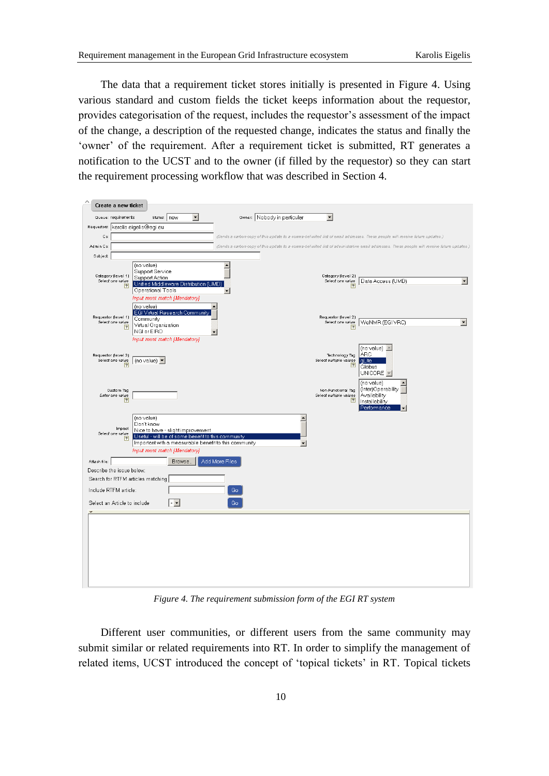The data that a requirement ticket stores initially is presented in [Figure 4.](#page-9-0) Using various standard and custom fields the ticket keeps information about the requestor, provides categorisation of the request, includes the requestor's assessment of the impact of the change, a description of the requested change, indicates the status and finally the 'owner' of the requirement. After a requirement ticket is submitted, RT generates a notification to the UCST and to the owner (if filled by the requestor) so they can start the requirement processing workflow that was described in Section 4.



*Figure 4. The requirement submission form of the EGI RT system*

<span id="page-9-0"></span>Different user communities, or different users from the same community may submit similar or related requirements into RT. In order to simplify the management of related items, UCST introduced the concept of 'topical tickets' in RT. Topical tickets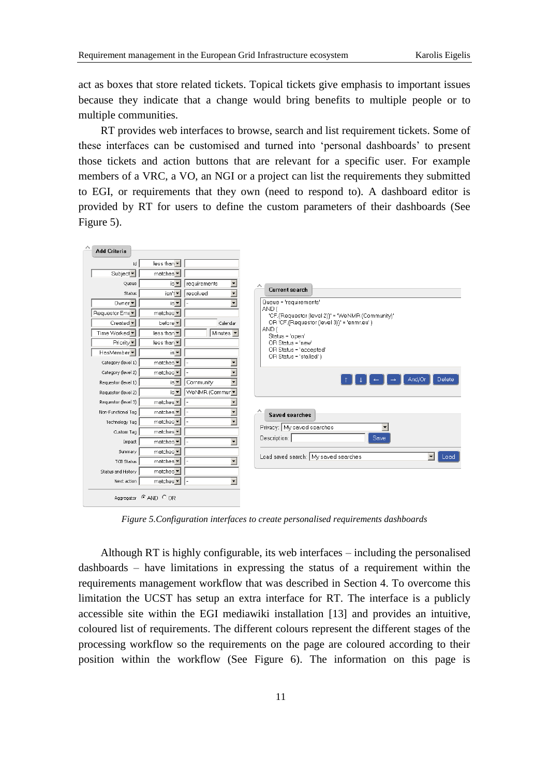act as boxes that store related tickets. Topical tickets give emphasis to important issues because they indicate that a change would bring benefits to multiple people or to multiple communities.

RT provides web interfaces to browse, search and list requirement tickets. Some of these interfaces can be customised and turned into 'personal dashboards' to present those tickets and action buttons that are relevant for a specific user. For example members of a VRC, a VO, an NGI or a project can list the requirements they submitted to EGI, or requirements that they own (need to respond to). A dashboard editor is provided by RT for users to define the custom parameters of their dashboards (See [Figure 5\)](#page-10-0).



*Figure 5.Configuration interfaces to create personalised requirements dashboards*

<span id="page-10-0"></span>Although RT is highly configurable, its web interfaces – including the personalised dashboards – have limitations in expressing the status of a requirement within the requirements management workflow that was described in Section 4. To overcome this limitation the UCST has setup an extra interface for RT. The interface is a publicly accessible site within the EGI mediawiki installation [\[13\]](#page-16-9) and provides an intuitive, coloured list of requirements. The different colours represent the different stages of the processing workflow so the requirements on the page are coloured according to their position within the workflow (See [Figure 6\)](#page-11-0). The information on this page is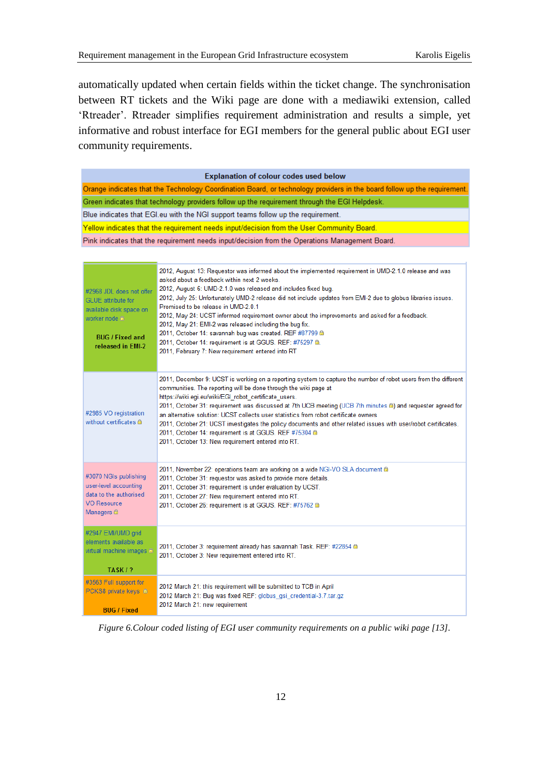automatically updated when certain fields within the ticket change. The synchronisation between RT tickets and the Wiki page are done with a mediawiki extension, called 'Rtreader'. Rtreader simplifies requirement administration and results a simple, yet informative and robust interface for EGI members for the general public about EGI user community requirements.

| <b>Explanation of colour codes used below</b>                                                                                                               |                                                                                                                                                                                                                                                                                                                                                                                                                                                                                                                                                                                                                                                                                                                           |  |  |
|-------------------------------------------------------------------------------------------------------------------------------------------------------------|---------------------------------------------------------------------------------------------------------------------------------------------------------------------------------------------------------------------------------------------------------------------------------------------------------------------------------------------------------------------------------------------------------------------------------------------------------------------------------------------------------------------------------------------------------------------------------------------------------------------------------------------------------------------------------------------------------------------------|--|--|
|                                                                                                                                                             | Orange indicates that the Technology Coordination Board, or technology providers in the board follow up the requirement.                                                                                                                                                                                                                                                                                                                                                                                                                                                                                                                                                                                                  |  |  |
| Green indicates that technology providers follow up the requirement through the EGI Helpdesk.                                                               |                                                                                                                                                                                                                                                                                                                                                                                                                                                                                                                                                                                                                                                                                                                           |  |  |
| Blue indicates that EGI.eu with the NGI support teams follow up the requirement.                                                                            |                                                                                                                                                                                                                                                                                                                                                                                                                                                                                                                                                                                                                                                                                                                           |  |  |
| Yellow indicates that the requirement needs input/decision from the User Community Board.                                                                   |                                                                                                                                                                                                                                                                                                                                                                                                                                                                                                                                                                                                                                                                                                                           |  |  |
|                                                                                                                                                             | Pink indicates that the requirement needs input/decision from the Operations Management Board.                                                                                                                                                                                                                                                                                                                                                                                                                                                                                                                                                                                                                            |  |  |
|                                                                                                                                                             |                                                                                                                                                                                                                                                                                                                                                                                                                                                                                                                                                                                                                                                                                                                           |  |  |
| #2968 JDL does not offer<br><b>GLUE</b> attribute for<br>available disk space on<br>worker node <del>ô</del><br><b>BUG / Fixed and</b><br>released in EMI-2 | 2012, August 13: Requestor was informed about the implemented requirement in UMD-2.1.0 release and was<br>asked about a feedback within next 2 weeks.<br>2012, August 6: UMD-2.1.0 was released and includes fixed bug.<br>2012, July 25: Unfortunately UMD-2 release did not include updates from EMI-2 due to globus libraries issues.<br>Promised to be release in UMD-2.0.1<br>2012, May 24: UCST informed requirement owner about the improvements and asked for a feedback.<br>2012, May 21: EMI-2 was released including the bug fix.<br>2011, October 14: savannah bug was created. REF #87799 @<br>2011, October 14: requirement is at GGUS. REF: #75297 @.<br>2011, February 7: New requirement entered into RT |  |  |
| #2985 VO registration<br>without certificates @                                                                                                             | 2011, December 9: UCST is working on a reporting system to capture the number of robot users from the different<br>communities. The reporting will be done through the wiki page at<br>https://wiki.egi.eu/wiki/EGI robot certificate users.<br>2011, October 31: requirement was discussed at 7th UCB meeting (UCB 7th minutes @) and requester agreed for<br>an alternative solution: UCST collects user statistics from robot certificate owners<br>2011, October 21: UCST investigates the policy documents and other related issues with user/robot certificates.<br>2011, October 14: requirement is at GGUS. REF #75304 @<br>2011, October 13: New requirement entered into RT.                                    |  |  |
| #3070 NGIs publishing<br>user-level accounting<br>data to the authorised<br><b>VO Resource</b><br>Managers <sup>c</sup>                                     | 2011, November 22: operations team are working on a wide NGI-VO SLA document a<br>2011, October 31: requestor was asked to provide more details.<br>2011, October 31: requirement is under evaluation by UCST.<br>2011, October 27: New requirement entered into RT.<br>2011, October 26: requirement is at GGUS. REF: #75762 @                                                                                                                                                                                                                                                                                                                                                                                           |  |  |
| #2947 EMI/UMD grid<br>elements available as<br>virtual machine images @                                                                                     | 2011, October 3: requirement already has savannah Task. REF: #22854 @<br>2011, October 3: New requirement entered into RT.                                                                                                                                                                                                                                                                                                                                                                                                                                                                                                                                                                                                |  |  |
| TASK / ?                                                                                                                                                    |                                                                                                                                                                                                                                                                                                                                                                                                                                                                                                                                                                                                                                                                                                                           |  |  |
| #3563 Full support for<br>PCKS8 private keys @                                                                                                              | 2012 March 21: this requirement will be submitted to TCB in April<br>2012 March 21: Bug was fixed REF: globus gsi credential-3.7.tar.gz<br>2012 March 21: new requirement                                                                                                                                                                                                                                                                                                                                                                                                                                                                                                                                                 |  |  |
| <b>BUG / Fixed</b>                                                                                                                                          |                                                                                                                                                                                                                                                                                                                                                                                                                                                                                                                                                                                                                                                                                                                           |  |  |

<span id="page-11-0"></span>*Figure 6.Colour coded listing of EGI user community requirements on a public wiki page [13].*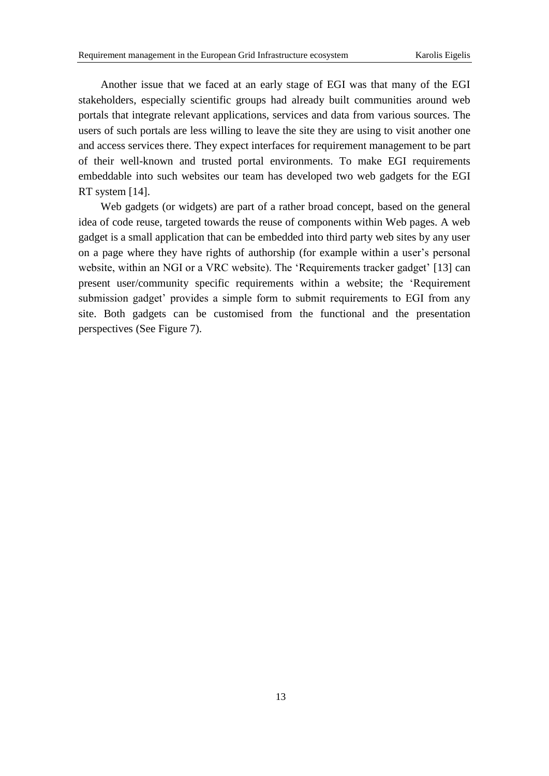Another issue that we faced at an early stage of EGI was that many of the EGI stakeholders, especially scientific groups had already built communities around web portals that integrate relevant applications, services and data from various sources. The users of such portals are less willing to leave the site they are using to visit another one and access services there. They expect interfaces for requirement management to be part of their well-known and trusted portal environments. To make EGI requirements embeddable into such websites our team has developed two web gadgets for the EGI RT system [14].

Web gadgets (or widgets) are part of a rather broad concept, based on the general idea of code reuse, targeted towards the reuse of components within Web pages. A web gadget is a small application that can be embedded into third party web sites by any user on a page where they have rights of authorship (for example within a user's personal website, within an NGI or a VRC website). The 'Requirements tracker gadget' [\[13\]](#page-16-10) can present user/community specific requirements within a website; the 'Requirement submission gadget' provides a simple form to submit requirements to EGI from any site. Both gadgets can be customised from the functional and the presentation perspectives (See [Figure 7\)](#page-13-0).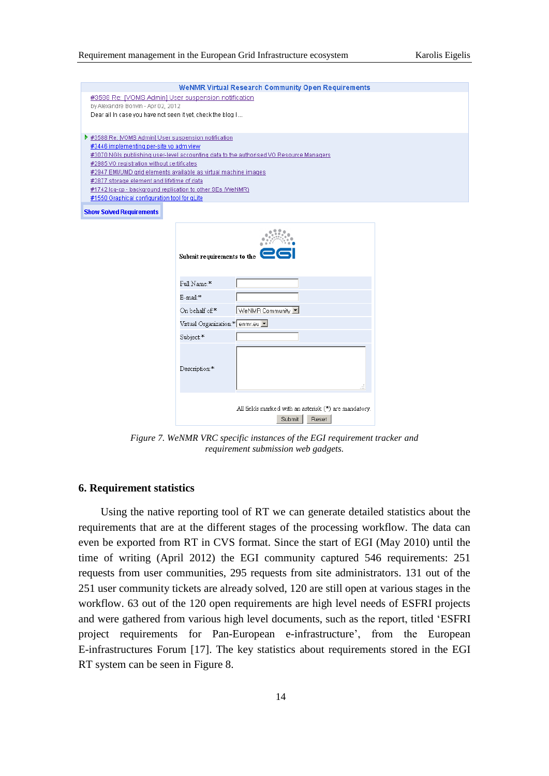| <b>WeNMR Virtual Research Community Open Requirements</b>                               |
|-----------------------------------------------------------------------------------------|
| #3588 Re: IVOMS Admin) User suspension notification                                     |
| by Alexandre Bonvin - Apr 02, 2012                                                      |
| Dear all in case you have not seen it yet, check the blog I                             |
|                                                                                         |
| ▶ #3588 Re: [VOMS Admin] User suspension notification                                   |
|                                                                                         |
| #3446 implementing per-site vo adm view                                                 |
| #3070 NGIs publishing user-level accounting data to the authorised VO Resource Managers |
| #2985 VO registration without certificates                                              |
| #2947 EMI/UMD grid elements available as virtual machine images                         |
| #2877 storage element and lifetime of data                                              |
| #1742 Icq-cp - background replication to other SEs (WeNMR)                              |
| #1550 Graphical configuration tool for gLite                                            |
| <b>Show Solved Requirements</b>                                                         |

|                                | Submit requirements to the $\mathbf{\mathbf{\mathsf{C}}}\mathbf{\mathsf{G}}$ |
|--------------------------------|------------------------------------------------------------------------------|
| Full Name:*                    |                                                                              |
| E-mail:*                       |                                                                              |
| On behalf of:*                 | VeNMR Community                                                              |
| Virtual Organization:* enmr.eu |                                                                              |
| Subject:*                      |                                                                              |
| Description:*                  |                                                                              |
|                                | All fields marked with an asterisk (*) are mandatory.<br>Submit<br>Reset     |

<span id="page-13-0"></span>*Figure 7. WeNMR VRC specific instances of the EGI requirement tracker and requirement submission web gadgets.*

#### **6. Requirement statistics**

Using the native reporting tool of RT we can generate detailed statistics about the requirements that are at the different stages of the processing workflow. The data can even be exported from RT in CVS format. Since the start of EGI (May 2010) until the time of writing (April 2012) the EGI community captured 546 requirements: 251 requests from user communities, 295 requests from site administrators. 131 out of the 251 user community tickets are already solved, 120 are still open at various stages in the workflow. 63 out of the 120 open requirements are high level needs of ESFRI projects and were gathered from various high level documents, such as the report, titled 'ESFRI project requirements for Pan-European e-infrastructure', from the European E-infrastructures Forum [17]. The key statistics about requirements stored in the EGI RT system can be seen in Figure 8.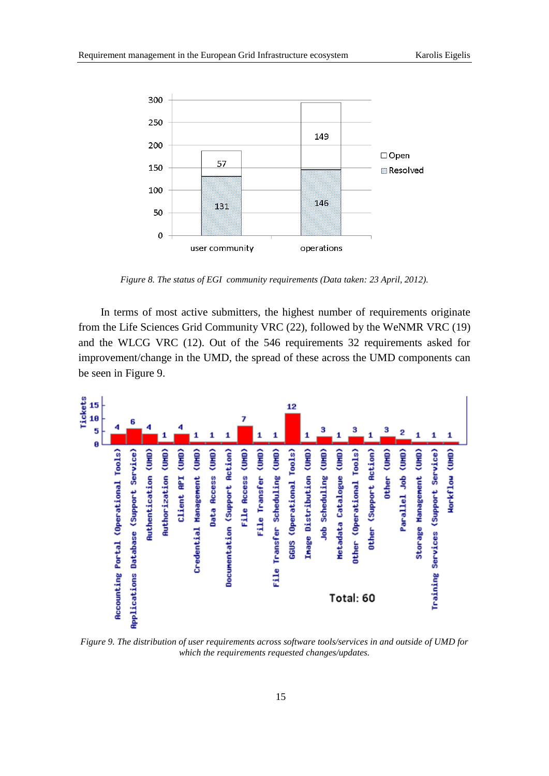

*Figure 8. The status of EGI community requirements (Data taken: 23 April, 2012).*

In terms of most active submitters, the highest number of requirements originate from the Life Sciences Grid Community VRC (22), followed by the WeNMR VRC (19) and the WLCG VRC (12). Out of the 546 requirements 32 requirements asked for improvement/change in the UMD, the spread of these across the UMD components can be seen in [Figure 9](#page-14-0).



<span id="page-14-0"></span>*Figure 9. The distribution of user requirements across software tools/services in and outside of UMD for which the requirements requested changes/updates.*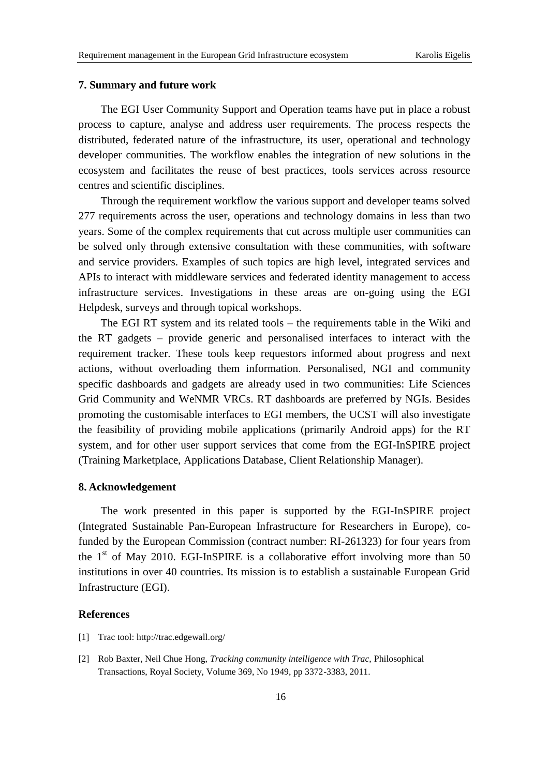## **7. Summary and future work**

The EGI User Community Support and Operation teams have put in place a robust process to capture, analyse and address user requirements. The process respects the distributed, federated nature of the infrastructure, its user, operational and technology developer communities. The workflow enables the integration of new solutions in the ecosystem and facilitates the reuse of best practices, tools services across resource centres and scientific disciplines.

Through the requirement workflow the various support and developer teams solved 277 requirements across the user, operations and technology domains in less than two years. Some of the complex requirements that cut across multiple user communities can be solved only through extensive consultation with these communities, with software and service providers. Examples of such topics are high level, integrated services and APIs to interact with middleware services and federated identity management to access infrastructure services. Investigations in these areas are on-going using the EGI Helpdesk, surveys and through topical workshops.

The EGI RT system and its related tools – the requirements table in the Wiki and the RT gadgets – provide generic and personalised interfaces to interact with the requirement tracker. These tools keep requestors informed about progress and next actions, without overloading them information. Personalised, NGI and community specific dashboards and gadgets are already used in two communities: Life Sciences Grid Community and WeNMR VRCs. RT dashboards are preferred by NGIs. Besides promoting the customisable interfaces to EGI members, the UCST will also investigate the feasibility of providing mobile applications (primarily Android apps) for the RT system, and for other user support services that come from the EGI-InSPIRE project (Training Marketplace, Applications Database, Client Relationship Manager).

## **8. Acknowledgement**

The work presented in this paper is supported by the EGI-InSPIRE project (Integrated Sustainable Pan-European Infrastructure for Researchers in Europe), cofunded by the European Commission (contract number: RI-261323) for four years from the  $1<sup>st</sup>$  of May 2010. EGI-InSPIRE is a collaborative effort involving more than 50 institutions in over 40 countries. Its mission is to establish a sustainable European Grid Infrastructure (EGI).

# **References**

- <span id="page-15-0"></span>[1] Trac tool:<http://trac.edgewall.org/>
- <span id="page-15-1"></span>[2] Rob Baxter, Neil Chue Hong, *Tracking community intelligence with Trac,* Philosophical Transactions, Royal Society, Volume 369, No 1949, pp 3372-3383, 2011.